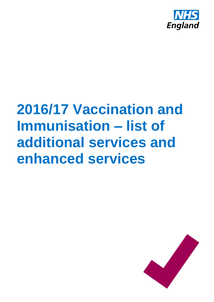

# **2016/17 Vaccination and Immunisation – list of additional services and enhanced services**

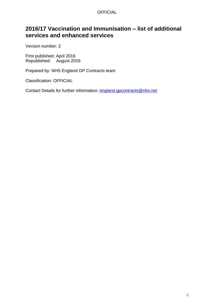#### **OFFICIAL**

## **2016/17 Vaccination and Immunisation – list of additional services and enhanced services**

Version number: 2

First published: April 2016 Republished: August 2016

Prepared by: NHS England GP Contracts team

Classification: OFFICIAL

Contact Details for further information: [england.gpcontracts@nhs.net](mailto:england.gpcontracts@nhs.net)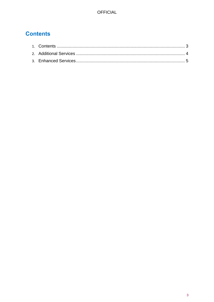# <span id="page-2-0"></span>**Contents**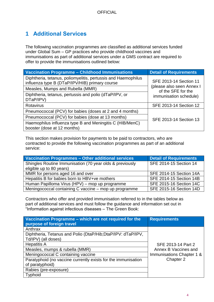## <span id="page-3-0"></span>**1 Additional Services**

The following vaccination programmes are classified as additional services funded under Global Sum – GP practices who provide childhood vaccines and immunisations as part of additional services under a GMS contract are required to offer to provide the immunisations outlined below:

| <b>Vaccination Programme - Childhood Immunisations</b>                                                          | <b>Detail of Requirements</b>                                             |  |
|-----------------------------------------------------------------------------------------------------------------|---------------------------------------------------------------------------|--|
| Diphtheria, tetanus, poliomyelitis, pertussis and Haemophilus<br>influenza type B (DTaP/IPV/HIB) primary course | SFE 2013-14 Section 11                                                    |  |
| Measles, Mumps and Rubella (MMR)                                                                                | (please also seen Annex I<br>of the SFE for the<br>immunisation schedule) |  |
| Diphtheria, tetanus, pertussis and polio (dTaP/IPV, or<br>DTaP/IPV)                                             |                                                                           |  |
| <b>Rotavirus</b>                                                                                                | <b>SFE 2013-14 Section 12</b>                                             |  |
| Pneumococcal (PCV) for babies (doses at 2 and 4 months)                                                         |                                                                           |  |
| Pneumococcal (PCV) for babies (dose at 13 months)                                                               | SFE 2013-14 Section 13                                                    |  |
| Haemophilus influenza type B and Meningitis C (HIB/MenC)<br>booster (dose at 12 months)                         |                                                                           |  |

This section makes provision for payments to be paid to contractors, who are contracted to provide the following vaccination programmes as part of an additional service:

| Vaccination Programmes - Other additional services       | <b>Detail of Requirements</b> |
|----------------------------------------------------------|-------------------------------|
| Shingles Routine Immunisation (70 year olds & previously | SFE 2014-15 Section 14        |
| eligible up to 80 years)                                 |                               |
| MMR for persons aged 16 and over                         | SFE 2014-15 Section 14A       |
| Hepatitis B for babies born to HBV+ve mothers            | SFE 2014-15 Section 14B       |
| Human Papilloma Virus (HPV) – mop up programme           | SFE 2015-16 Section 14C       |
| Meningococcal containing C vaccine - mop up programme    | SFE 2015-16 Section 14D       |

Contractors who offer and provided immunisation referred to in the tables below as part of additional services and must follow the guidance and information set out in "Information against infectious diseases – The Green Book:

| Vaccination Programme – which are not required for the        | <b>Requirements</b>       |
|---------------------------------------------------------------|---------------------------|
| purpose of foreign travel                                     |                           |
| Anthrax                                                       |                           |
| Diphtheria, Tetanus and Polio (DtaP/Hib; DtaP/IPV: dTaP/IPV,  |                           |
| Td/IPV) (all doses)                                           |                           |
| <b>Hepatitis A</b>                                            | SFE 2013-14 Part 2        |
| Measles, mumps & rubella (MMR)                                | Annex B Vaccines and      |
| Meningococcal C containing vaccine                            | Immunisations Chapter 1 & |
| Paratyphoid (no vaccine currently exists for the immunisation | Chapter 2                 |
| of paratyphoid)                                               |                           |
| Rabies (pre-exposure)                                         |                           |
| Typhoid                                                       |                           |